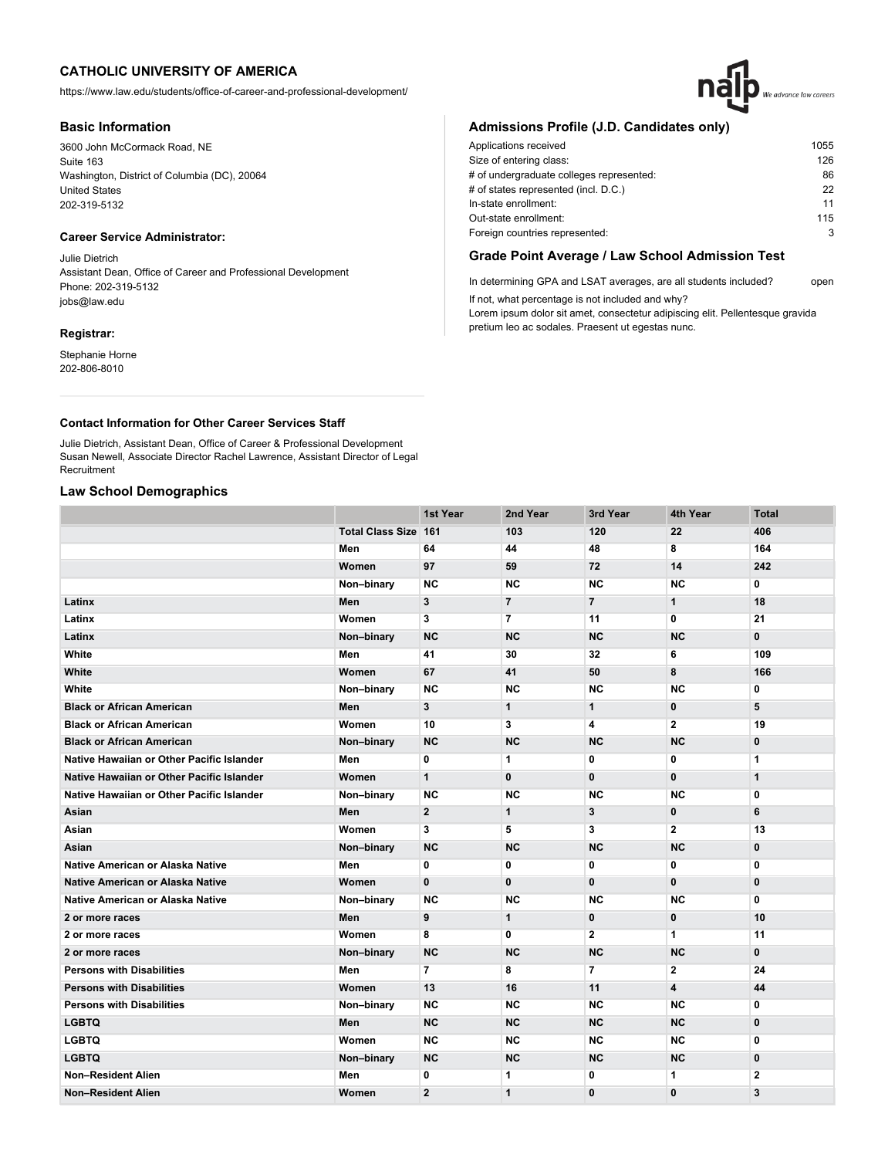https://www.law.edu/students/office-of-career-and-professional-development/

## **Basic Information**

3600 John McCormack Road, NE Suite 163 Washington, District of Columbia (DC), 20064 United States 202-319-5132

# **Career Service Administrator:**

Julie Dietrich Assistant Dean, Office of Career and Professional Development Phone: 202-319-5132 jobs@law.edu

## **Registrar:**

Stephanie Horne 202-806-8010

# We advance law careers

# **Admissions Profile (J.D. Candidates only)**

| Applications received                    | 1055 |
|------------------------------------------|------|
| Size of entering class:                  | 126  |
| # of undergraduate colleges represented: | 86   |
| # of states represented (incl. D.C.)     | 22   |
| In-state enrollment:                     | 11   |
| Out-state enrollment:                    | 115  |
| Foreign countries represented:           | 3    |

# **Grade Point Average / Law School Admission Test**

In determining GPA and LSAT averages, are all students included? open If not, what percentage is not included and why?

Lorem ipsum dolor sit amet, consectetur adipiscing elit. Pellentesque gravida pretium leo ac sodales. Praesent ut egestas nunc.

## **Contact Information for Other Career Services Staff**

Julie Dietrich, Assistant Dean, Office of Career & Professional Development Susan Newell, Associate Director Rachel Lawrence, Assistant Director of Legal **Recruitment** 

# **Law School Demographics**

|                                           |                             | 1st Year       | 2nd Year       | 3rd Year       | 4th Year       | <b>Total</b> |
|-------------------------------------------|-----------------------------|----------------|----------------|----------------|----------------|--------------|
|                                           | <b>Total Class Size 161</b> |                | 103            | 120            | 22             | 406          |
|                                           | Men                         | 64             | 44             | 48             | 8              | 164          |
|                                           | Women                       | 97             | 59             | 72             | 14             | 242          |
|                                           | Non-binary                  | NC.            | <b>NC</b>      | <b>NC</b>      | <b>NC</b>      | $\mathbf{0}$ |
| Latinx                                    | Men                         | $\mathbf{3}$   | $\overline{7}$ | $\overline{7}$ | $\mathbf{1}$   | 18           |
| Latinx                                    | Women                       | 3              | 7              | 11             | 0              | 21           |
| Latinx                                    | Non-binary                  | <b>NC</b>      | <b>NC</b>      | <b>NC</b>      | <b>NC</b>      | $\mathbf{0}$ |
| White                                     | Men                         | 41             | 30             | 32             | 6              | 109          |
| White                                     | Women                       | 67             | 41             | 50             | 8              | 166          |
| White                                     | Non-binary                  | <b>NC</b>      | <b>NC</b>      | <b>NC</b>      | <b>NC</b>      | 0            |
| <b>Black or African American</b>          | Men                         | 3              | $\mathbf{1}$   | $\mathbf{1}$   | $\mathbf{0}$   | 5            |
| <b>Black or African American</b>          | Women                       | 10             | 3              | 4              | $\mathbf{2}$   | 19           |
| <b>Black or African American</b>          | Non-binary                  | <b>NC</b>      | <b>NC</b>      | <b>NC</b>      | <b>NC</b>      | $\mathbf 0$  |
| Native Hawaiian or Other Pacific Islander | Men                         | 0              | 1              | 0              | 0              | 1            |
| Native Hawaiian or Other Pacific Islander | Women                       | $\mathbf{1}$   | $\mathbf{0}$   | $\bf{0}$       | $\mathbf{0}$   | $\mathbf{1}$ |
| Native Hawaiian or Other Pacific Islander | Non-binary                  | <b>NC</b>      | <b>NC</b>      | <b>NC</b>      | <b>NC</b>      | 0            |
| Asian                                     | Men                         | $\mathbf{2}$   | $\mathbf 1$    | 3              | $\bf{0}$       | 6            |
| Asian                                     | Women                       | 3              | 5              | 3              | $\mathbf{2}$   | 13           |
| Asian                                     | Non-binary                  | <b>NC</b>      | <b>NC</b>      | <b>NC</b>      | <b>NC</b>      | $\mathbf 0$  |
| Native American or Alaska Native          | Men                         | 0              | 0              | 0              | 0              | 0            |
| Native American or Alaska Native          | Women                       | $\mathbf{0}$   | $\mathbf{0}$   | $\bf{0}$       | $\mathbf 0$    | $\mathbf{0}$ |
| Native American or Alaska Native          | Non-binary                  | <b>NC</b>      | NC             | <b>NC</b>      | <b>NC</b>      | 0            |
| 2 or more races                           | Men                         | 9              | $\mathbf{1}$   | $\mathbf 0$    | $\mathbf{0}$   | 10           |
| 2 or more races                           | Women                       | 8              | 0              | $\mathbf{2}$   | 1              | 11           |
| 2 or more races                           | Non-binary                  | <b>NC</b>      | <b>NC</b>      | <b>NC</b>      | <b>NC</b>      | $\mathbf{0}$ |
| <b>Persons with Disabilities</b>          | Men                         | $\overline{7}$ | 8              | $\overline{7}$ | $\overline{2}$ | 24           |
| <b>Persons with Disabilities</b>          | Women                       | 13             | 16             | 11             | 4              | 44           |
| <b>Persons with Disabilities</b>          | Non-binary                  | <b>NC</b>      | <b>NC</b>      | <b>NC</b>      | <b>NC</b>      | 0            |
| <b>LGBTQ</b>                              | Men                         | <b>NC</b>      | <b>NC</b>      | <b>NC</b>      | <b>NC</b>      | $\mathbf{0}$ |
| <b>LGBTQ</b>                              | Women                       | <b>NC</b>      | <b>NC</b>      | <b>NC</b>      | <b>NC</b>      | 0            |
| <b>LGBTQ</b>                              | Non-binary                  | <b>NC</b>      | <b>NC</b>      | <b>NC</b>      | <b>NC</b>      | $\mathbf{0}$ |
| Non-Resident Alien                        | Men                         | 0              | 1              | 0              | 1              | $\mathbf{2}$ |
| <b>Non-Resident Alien</b>                 | Women                       | $\overline{2}$ | $\mathbf{1}$   | $\mathbf 0$    | $\mathbf 0$    | 3            |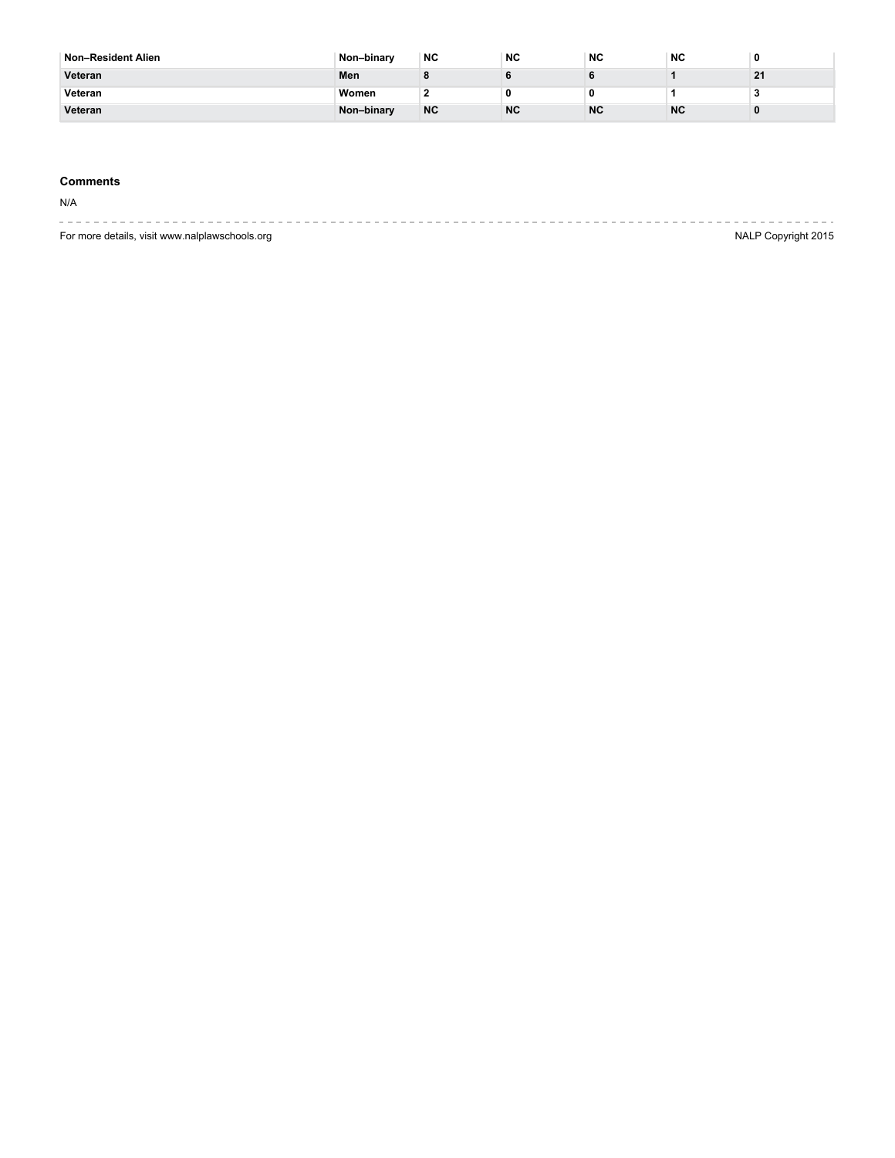| <sup>∣</sup> Non–Resident Alien | Non-binary | <b>NC</b> | <b>NC</b> | <b>NC</b> | <b>NC</b> |    |
|---------------------------------|------------|-----------|-----------|-----------|-----------|----|
| Veteran                         | Men        |           |           |           |           | 21 |
| Veteran                         | Women      |           |           |           |           |    |
| Veteran                         | Non-binary | <b>NC</b> | <b>NC</b> | <b>NC</b> | <b>NC</b> |    |

## **Comments**

N/A

| For more details, visit www.nalplawschools.org |  |  | NALP Copyright 2015 |
|------------------------------------------------|--|--|---------------------|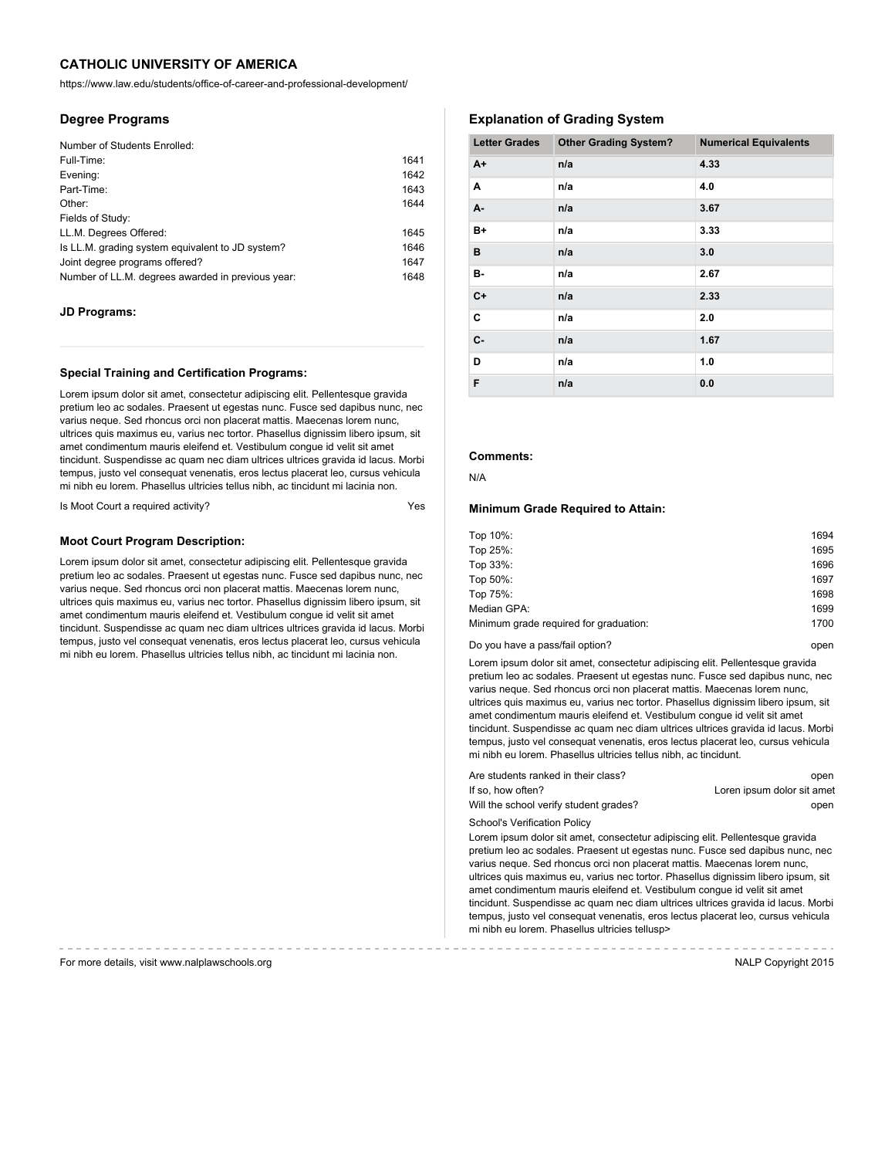https://www.law.edu/students/office-of-career-and-professional-development/

## **Degree Programs**

| 1641 |
|------|
| 1642 |
| 1643 |
| 1644 |
|      |
| 1645 |
| 1646 |
| 1647 |
| 1648 |
|      |

## **JD Programs:**

#### **Special Training and Certification Programs:**

Lorem ipsum dolor sit amet, consectetur adipiscing elit. Pellentesque gravida pretium leo ac sodales. Praesent ut egestas nunc. Fusce sed dapibus nunc, nec varius neque. Sed rhoncus orci non placerat mattis. Maecenas lorem nunc, ultrices quis maximus eu, varius nec tortor. Phasellus dignissim libero ipsum, sit amet condimentum mauris eleifend et. Vestibulum congue id velit sit amet tincidunt. Suspendisse ac quam nec diam ultrices ultrices gravida id lacus. Morbi tempus, justo vel consequat venenatis, eros lectus placerat leo, cursus vehicula mi nibh eu lorem. Phasellus ultricies tellus nibh, ac tincidunt mi lacinia non.

Is Moot Court a required activity? The Moot Court are required activity?

#### **Moot Court Program Description:**

Lorem ipsum dolor sit amet, consectetur adipiscing elit. Pellentesque gravida pretium leo ac sodales. Praesent ut egestas nunc. Fusce sed dapibus nunc, nec varius neque. Sed rhoncus orci non placerat mattis. Maecenas lorem nunc, ultrices quis maximus eu, varius nec tortor. Phasellus dignissim libero ipsum, sit amet condimentum mauris eleifend et. Vestibulum congue id velit sit amet tincidunt. Suspendisse ac quam nec diam ultrices ultrices gravida id lacus. Morbi tempus, justo vel consequat venenatis, eros lectus placerat leo, cursus vehicula mi nibh eu lorem. Phasellus ultricies tellus nibh, ac tincidunt mi lacinia non.

# **Explanation of Grading System**

| <b>Letter Grades</b> | <b>Other Grading System?</b> | <b>Numerical Equivalents</b> |
|----------------------|------------------------------|------------------------------|
| $A+$                 | n/a                          | 4.33                         |
| Α                    | n/a                          | 4.0                          |
| A-                   | n/a                          | 3.67                         |
| $B+$                 | n/a                          | 3.33                         |
| в                    | n/a                          | 3.0                          |
| в-                   | n/a                          | 2.67                         |
| $C+$                 | n/a                          | 2.33                         |
| C                    | n/a                          | 2.0                          |
| C-                   | n/a                          | 1.67                         |
| D                    | n/a                          | 1.0                          |
| F                    | n/a                          | 0.0                          |

# **Comments:**

N/A

#### **Minimum Grade Required to Attain:**

| Top 10%:                               | 1694 |
|----------------------------------------|------|
| Top 25%:                               | 1695 |
| Top 33%:                               | 1696 |
| Top 50%:                               | 1697 |
| Top 75%:                               | 1698 |
| Median GPA:                            | 1699 |
| Minimum grade required for graduation: | 1700 |
|                                        |      |

#### Do you have a pass/fail option? Do you have a pass/fail option?

Lorem ipsum dolor sit amet, consectetur adipiscing elit. Pellentesque gravida pretium leo ac sodales. Praesent ut egestas nunc. Fusce sed dapibus nunc, nec varius neque. Sed rhoncus orci non placerat mattis. Maecenas lorem nunc, ultrices quis maximus eu, varius nec tortor. Phasellus dignissim libero ipsum, sit amet condimentum mauris eleifend et. Vestibulum congue id velit sit amet tincidunt. Suspendisse ac quam nec diam ultrices ultrices gravida id lacus. Morbi tempus, justo vel consequat venenatis, eros lectus placerat leo, cursus vehicula mi nibh eu lorem. Phasellus ultricies tellus nibh, ac tincidunt.

| Are students ranked in their class?    | open                       |
|----------------------------------------|----------------------------|
| If so, how often?                      | Loren ipsum dolor sit amet |
| Will the school verify student grades? | open                       |

School's Verification Policy

Lorem ipsum dolor sit amet, consectetur adipiscing elit. Pellentesque gravida pretium leo ac sodales. Praesent ut egestas nunc. Fusce sed dapibus nunc, nec varius neque. Sed rhoncus orci non placerat mattis. Maecenas lorem nunc, ultrices quis maximus eu, varius nec tortor. Phasellus dignissim libero ipsum, sit amet condimentum mauris eleifend et. Vestibulum congue id velit sit amet tincidunt. Suspendisse ac quam nec diam ultrices ultrices gravida id lacus. Morbi tempus, justo vel consequat venenatis, eros lectus placerat leo, cursus vehicula mi nibh eu lorem. Phasellus ultricies tellusp>

For more details, visit www.nalplawschools.org NALP Copyright 2015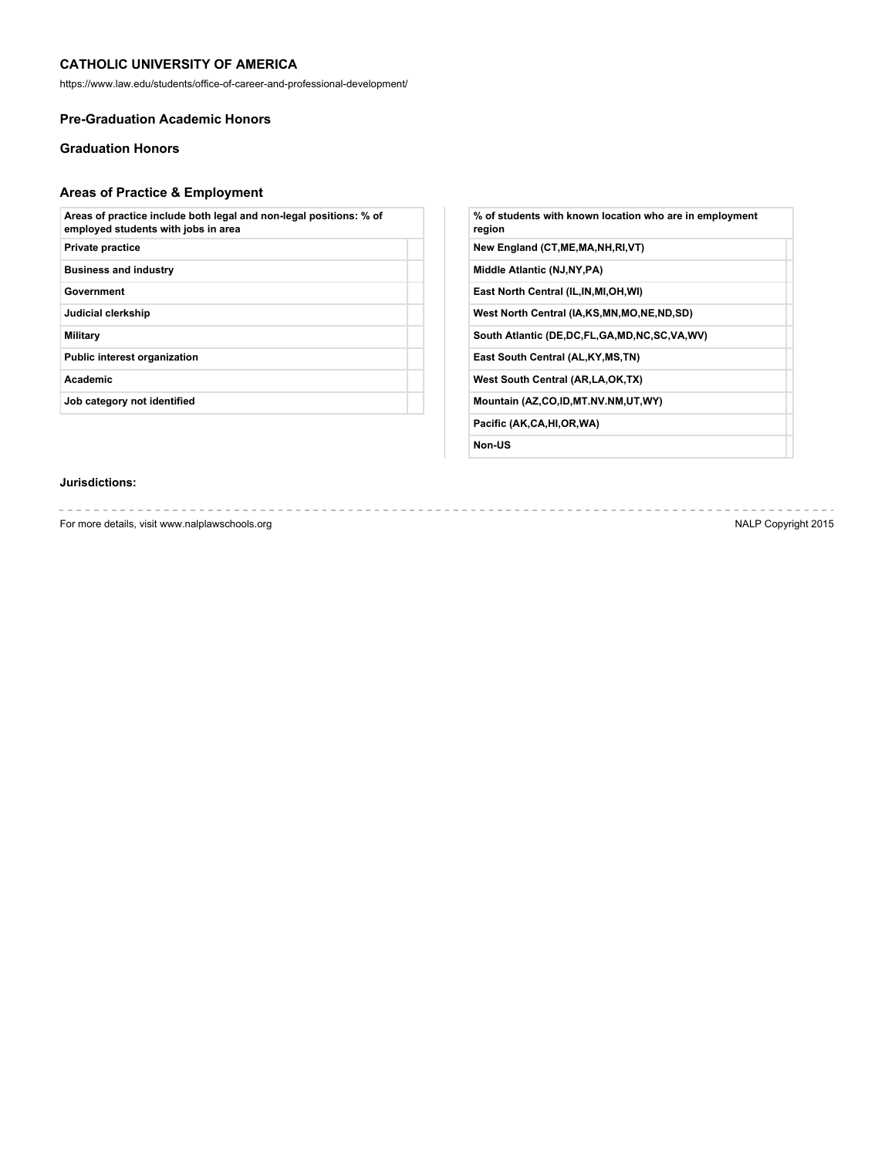https://www.law.edu/students/office-of-career-and-professional-development/

# **Pre-Graduation Academic Honors**

# **Graduation Honors**

# **Areas of Practice & Employment**

| Areas of practice include both legal and non-legal positions: % of<br>employed students with jobs in area |  |
|-----------------------------------------------------------------------------------------------------------|--|
| <b>Private practice</b>                                                                                   |  |
| <b>Business and industry</b>                                                                              |  |
| Government                                                                                                |  |
| Judicial clerkship                                                                                        |  |
| Military                                                                                                  |  |
| <b>Public interest organization</b>                                                                       |  |
| Academic                                                                                                  |  |
| Job category not identified                                                                               |  |
|                                                                                                           |  |

| % of students with known location who are in employment<br>region |
|-------------------------------------------------------------------|
| New England (CT, ME, MA, NH, RI, VT)                              |
| Middle Atlantic (NJ, NY, PA)                                      |
| East North Central (IL, IN, MI, OH, WI)                           |
| West North Central (IA,KS,MN,MO,NE,ND,SD)                         |
| South Atlantic (DE,DC,FL,GA,MD,NC,SC,VA,WV)                       |
| East South Central (AL, KY, MS, TN)                               |
| West South Central (AR, LA, OK, TX)                               |
| Mountain (AZ,CO,ID,MT.NV.NM,UT,WY)                                |
| Pacific (AK,CA,HI,OR,WA)                                          |
| Non-US                                                            |

# **Jurisdictions:**

For more details, visit www.nalplawschools.org NALP Copyright 2015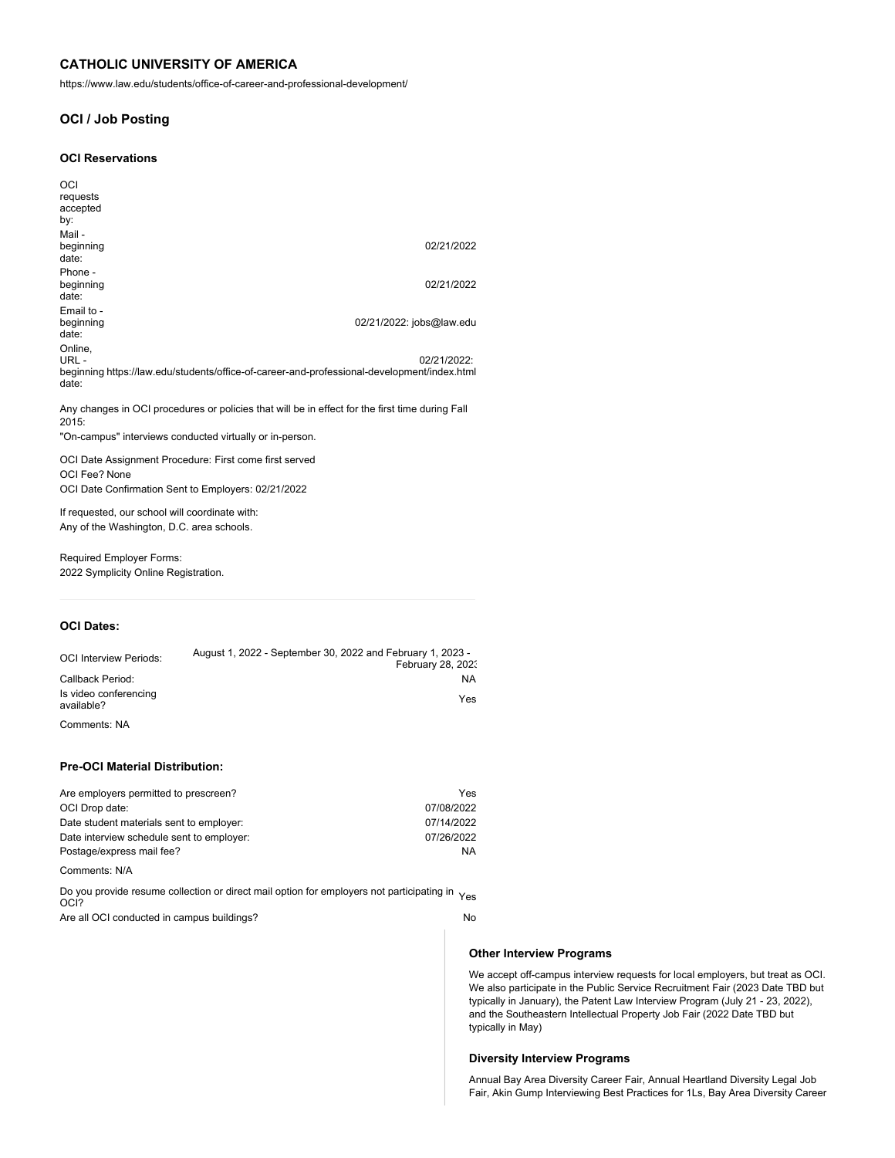https://www.law.edu/students/office-of-career-and-professional-development/

# **OCI / Job Posting**

#### **OCI Reservations**

| OCI<br>requests<br>accepted<br>by:                                                                                      |                          |
|-------------------------------------------------------------------------------------------------------------------------|--------------------------|
| Mail-<br>beginning<br>date:                                                                                             | 02/21/2022               |
| Phone -<br>beginning<br>date:                                                                                           | 02/21/2022               |
| Email to -<br>beginning<br>date:                                                                                        | 02/21/2022: jobs@law.edu |
| Online.<br>URL-<br>beginning https://law.edu/students/office-of-career-and-professional-development/index.html<br>date: | 02/21/2022:              |

Any changes in OCI procedures or policies that will be in effect for the first time during Fall 2015:

"On-campus" interviews conducted virtually or in-person.

OCI Date Assignment Procedure: First come first served OCI Fee? None OCI Date Confirmation Sent to Employers: 02/21/2022

If requested, our school will coordinate with: Any of the Washington, D.C. area schools.

Required Employer Forms: 2022 Symplicity Online Registration.

# **OCI Dates:**

| <b>OCI Interview Periods:</b>       | August 1, 2022 - September 30, 2022 and February 1, 2023 - |
|-------------------------------------|------------------------------------------------------------|
|                                     | February 28, 2023                                          |
| Callback Period:                    | NA                                                         |
| Is video conferencing<br>available? | Yes                                                        |
| Comments: NA                        |                                                            |

## **Pre-OCI Material Distribution:**

| Are employers permitted to prescreen?     | Yes        |
|-------------------------------------------|------------|
| OCI Drop date:                            | 07/08/2022 |
| Date student materials sent to employer:  | 07/14/2022 |
| Date interview schedule sent to employer: | 07/26/2022 |
| Postage/express mail fee?                 | <b>NA</b>  |

Comments: N/A

Do you provide resume collection or direct mail option for employers not participating in <sub>Yes</sub><br>OCI?

Are all OCI conducted in campus buildings? No

#### **Other Interview Programs**

We accept off-campus interview requests for local employers, but treat as OCI. We also participate in the Public Service Recruitment Fair (2023 Date TBD but typically in January), the Patent Law Interview Program (July 21 - 23, 2022), and the Southeastern Intellectual Property Job Fair (2022 Date TBD but typically in May)

#### **Diversity Interview Programs**

Annual Bay Area Diversity Career Fair, Annual Heartland Diversity Legal Job Fair, Akin Gump Interviewing Best Practices for 1Ls, Bay Area Diversity Career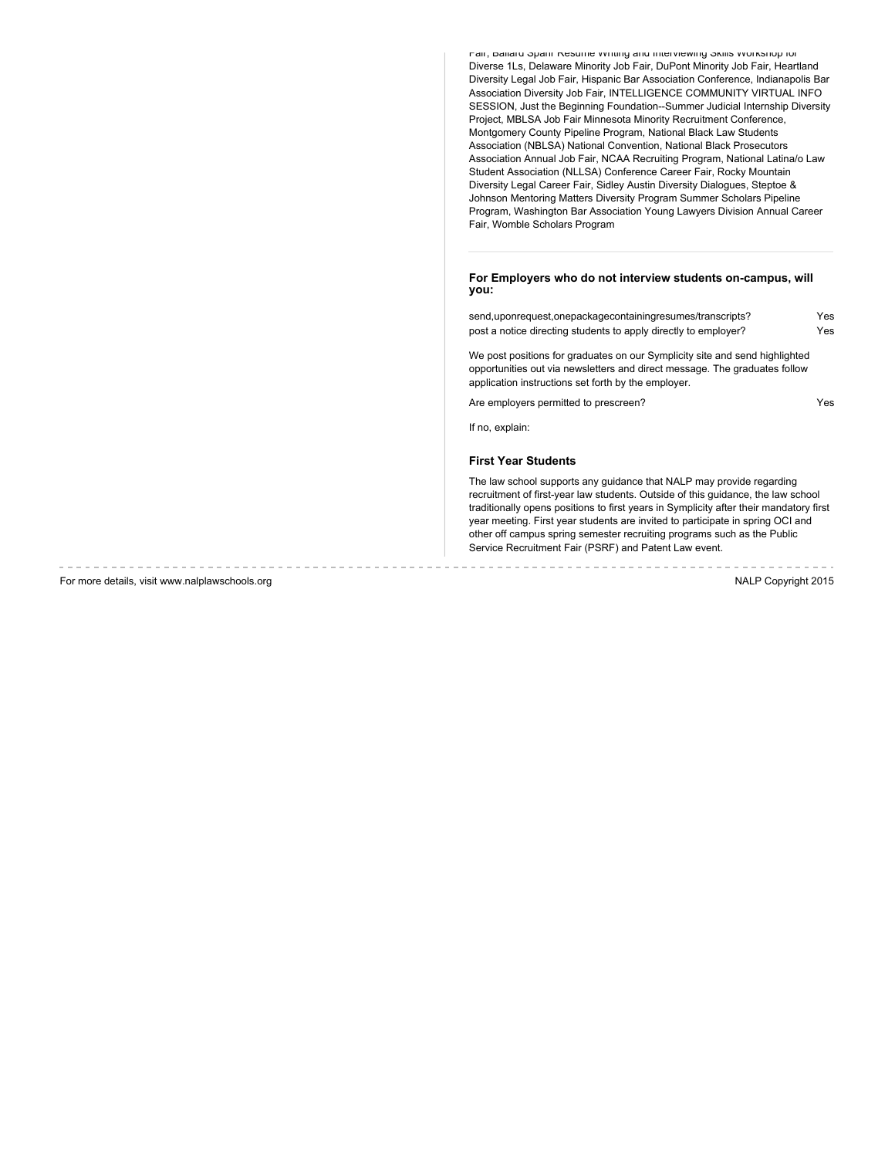Fair, Ballard Spahr Resume Writing and Interviewing Skills Workshop for Diverse 1Ls, Delaware Minority Job Fair, DuPont Minority Job Fair, Heartland Diversity Legal Job Fair, Hispanic Bar Association Conference, Indianapolis Bar Association Diversity Job Fair, INTELLIGENCE COMMUNITY VIRTUAL INFO SESSION, Just the Beginning Foundation--Summer Judicial Internship Diversity Project, MBLSA Job Fair Minnesota Minority Recruitment Conference, Montgomery County Pipeline Program, National Black Law Students Association (NBLSA) National Convention, National Black Prosecutors Association Annual Job Fair, NCAA Recruiting Program, National Latina/o Law Student Association (NLLSA) Conference Career Fair, Rocky Mountain Diversity Legal Career Fair, Sidley Austin Diversity Dialogues, Steptoe & Johnson Mentoring Matters Diversity Program Summer Scholars Pipeline Program, Washington Bar Association Young Lawyers Division Annual Career Fair, Womble Scholars Program

#### **For Employers who do not interview students on-campus, will you:**

| send, upon request, one package containing resumes/transcripts? | Yes |
|-----------------------------------------------------------------|-----|
| post a notice directing students to apply directly to employer? | Yes |

We post positions for graduates on our Symplicity site and send highlighted opportunities out via newsletters and direct message. The graduates follow application instructions set forth by the employer.

Are employers permitted to prescreen? The state of the employers of the Ves

If no, explain:

## **First Year Students**

The law school supports any guidance that NALP may provide regarding recruitment of first-year law students. Outside of this guidance, the law school traditionally opens positions to first years in Symplicity after their mandatory first year meeting. First year students are invited to participate in spring OCI and other off campus spring semester recruiting programs such as the Public Service Recruitment Fair (PSRF) and Patent Law event.

For more details, visit www.nalplawschools.org NALP Copyright 2015

the contract of the contract of the contract of